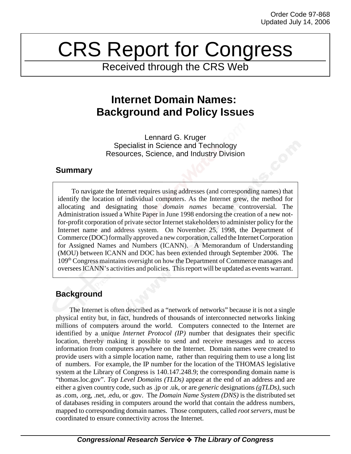# CRS Report for Congress

Received through the CRS Web

## **Internet Domain Names: Background and Policy Issues**

Lennard G. Kruger Specialist in Science and Technology Resources, Science, and Industry Division

### **Summary**

To navigate the Internet requires using addresses (and corresponding names) that identify the location of individual computers. As the Internet grew, the method for allocating and designating those *domain names* became controversial. The Administration issued a White Paper in June 1998 endorsing the creation of a new notfor-profit corporation of private sector Internet stakeholders to administer policy for the Internet name and address system. On November 25, 1998, the Department of Commerce (DOC) formally approved a new corporation, called the Internet Corporation for Assigned Names and Numbers (ICANN). A Memorandum of Understanding (MOU) between ICANN and DOC has been extended through September 2006. The 109th Congress maintains oversight on how the Department of Commerce manages and oversees ICANN's activities and policies. This report will be updated as events warrant.

## **Background**

The Internet is often described as a "network of networks" because it is not a single physical entity but, in fact, hundreds of thousands of interconnected networks linking millions of computers around the world. Computers connected to the Internet are identified by a unique *Internet Protocol (IP)* number that designates their specific location, thereby making it possible to send and receive messages and to access information from computers anywhere on the Internet. Domain names were created to provide users with a simple location name, rather than requiring them to use a long list of numbers. For example, the IP number for the location of the THOMAS legislative system at the Library of Congress is 140.147.248.9; the corresponding domain name is "thomas.loc.gov". *Top Level Domains (TLDs)* appear at the end of an address and are either a given country code, such as .jp or .uk, or are *generic* designations *(gTLDs)*, such as .com, .org, .net, .edu, or .gov. The *Domain Name System (DNS)* is the distributed set of databases residing in computers around the world that contain the address numbers, mapped to corresponding domain names. Those computers, called *root servers*, must be coordinated to ensure connectivity across the Internet.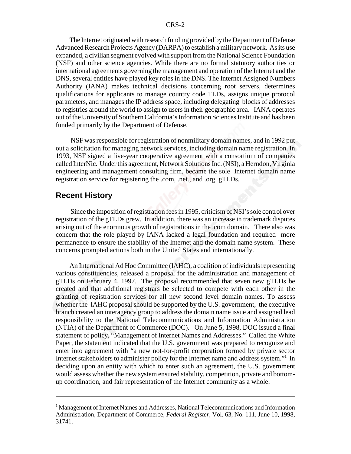The Internet originated with research funding provided by the Department of Defense Advanced Research Projects Agency (DARPA) to establish a military network. As its use expanded, a civilian segment evolved with support from the National Science Foundation (NSF) and other science agencies. While there are no formal statutory authorities or international agreements governing the management and operation of the Internet and the DNS, several entities have played key roles in the DNS. The Internet Assigned Numbers Authority (IANA) makes technical decisions concerning root servers, determines qualifications for applicants to manage country code TLDs, assigns unique protocol parameters, and manages the IP address space, including delegating blocks of addresses to registries around the world to assign to users in their geographic area. IANA operates out of the University of Southern California's Information Sciences Institute and has been funded primarily by the Department of Defense.

 NSF was responsible for registration of nonmilitary domain names, and in 1992 put out a solicitation for managing network services, including domain name registration. In 1993, NSF signed a five-year cooperative agreement with a consortium of companies called InterNic. Under this agreement, Network Solutions Inc. (NSI), a Herndon, Virginia engineering and management consulting firm, became the sole Internet domain name registration service for registering the .com, .net., and .org. gTLDs.

#### **Recent History**

 Since the imposition of registration fees in 1995, criticism of NSI's sole control over registration of the gTLDs grew. In addition, there was an increase in trademark disputes arising out of the enormous growth of registrations in the .com domain. There also was concern that the role played by IANA lacked a legal foundation and required more permanence to ensure the stability of the Internet and the domain name system. These concerns prompted actions both in the United States and internationally.

An International Ad Hoc Committee (IAHC), a coalition of individuals representing various constituencies, released a proposal for the administration and management of gTLDs on February 4, 1997. The proposal recommended that seven new gTLDs be created and that additional registrars be selected to compete with each other in the granting of registration services for all new second level domain names. To assess whether the IAHC proposal should be supported by the U.S. government, the executive branch created an interagency group to address the domain name issue and assigned lead responsibility to the National Telecommunications and Information Administration (NTIA) of the Department of Commerce (DOC). On June 5, 1998, DOC issued a final statement of policy, "Management of Internet Names and Addresses." Called the White Paper, the statement indicated that the U.S. government was prepared to recognize and enter into agreement with "a new not-for-profit corporation formed by private sector Internet stakeholders to administer policy for the Internet name and address system."<sup>1</sup> In deciding upon an entity with which to enter such an agreement, the U.S. government would assess whether the new system ensured stability, competition, private and bottomup coordination, and fair representation of the Internet community as a whole.

<sup>&</sup>lt;sup>1</sup> Management of Internet Names and Addresses, National Telecommunications and Information Administration, Department of Commerce, *Federal Register*, Vol. 63, No. 111, June 10, 1998, 31741.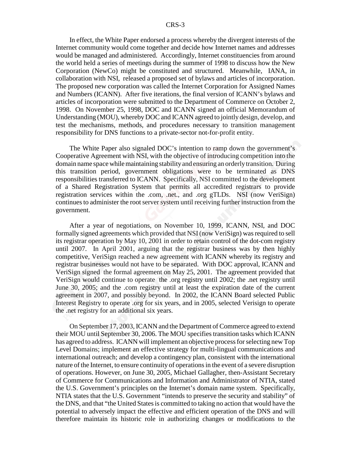In effect, the White Paper endorsed a process whereby the divergent interests of the Internet community would come together and decide how Internet names and addresses would be managed and administered. Accordingly, Internet constituencies from around the world held a series of meetings during the summer of 1998 to discuss how the New Corporation (NewCo) might be constituted and structured. Meanwhile, IANA, in collaboration with NSI, released a proposed set of bylaws and articles of incorporation. The proposed new corporation was called the Internet Corporation for Assigned Names and Numbers (ICANN). After five iterations, the final version of ICANN's bylaws and articles of incorporation were submitted to the Department of Commerce on October 2, 1998. On November 25, 1998, DOC and ICANN signed an official Memorandum of Understanding (MOU), whereby DOC and ICANN agreed to jointly design, develop, and test the mechanisms, methods, and procedures necessary to transition management responsibility for DNS functions to a private-sector not-for-profit entity.

The White Paper also signaled DOC's intention to ramp down the government's Cooperative Agreement with NSI, with the objective of introducing competition into the domain name space while maintaining stability and ensuring an orderly transition. During this transition period, government obligations were to be terminated as DNS responsibilities transferred to ICANN. Specifically, NSI committed to the development of a Shared Registration System that permits all accredited registrars to provide registration services within the .com, .net., and .org gTLDs. NSI (now VeriSign) continues to administer the root server system until receiving further instruction from the government.

After a year of negotiations, on November 10, 1999, ICANN, NSI, and DOC formally signed agreements which provided that NSI (now VeriSign) was required to sell its registrar operation by May 10, 2001 in order to retain control of the dot-com registry until 2007. In April 2001, arguing that the registrar business was by then highly competitive, VeriSign reached a new agreement with ICANN whereby its registry and registrar businesses would not have to be separated. With DOC approval, ICANN and VeriSign signed the formal agreement on May 25, 2001. The agreement provided that VeriSign would continue to operate the .org registry until 2002; the .net registry until June 30, 2005; and the .com registry until at least the expiration date of the current agreement in 2007, and possibly beyond. In 2002, the ICANN Board selected Public Interest Registry to operate .org for six years, and in 2005, selected Verisign to operate the .net registry for an additional six years.

On September 17, 2003, ICANN and the Department of Commerce agreed to extend their MOU until September 30, 2006. The MOU specifies transition tasks which ICANN has agreed to address. ICANN will implement an objective process for selecting new Top Level Domains; implement an effective strategy for multi-lingual communications and international outreach; and develop a contingency plan, consistent with the international nature of the Internet, to ensure continuity of operations in the event of a severe disruption of operations. However, on June 30, 2005, Michael Gallagher, then-Assistant Secretary of Commerce for Communications and Information and Administrator of NTIA, stated the U.S. Government's principles on the Internet's domain name system. Specifically, NTIA states that the U.S. Government "intends to preserve the security and stability" of the DNS, and that "the United States is committed to taking no action that would have the potential to adversely impact the effective and efficient operation of the DNS and will therefore maintain its historic role in authorizing changes or modifications to the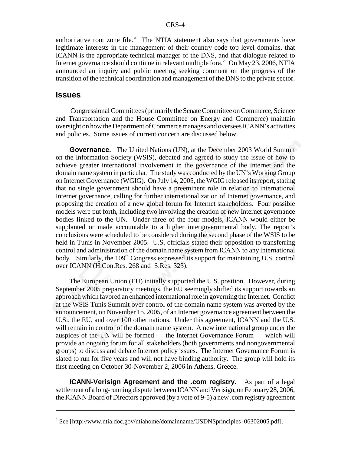authoritative root zone file." The NTIA statement also says that governments have legitimate interests in the management of their country code top level domains, that ICANN is the appropriate technical manager of the DNS, and that dialogue related to Internet governance should continue in relevant multiple fora. $^2$  On May 23, 2006, NTIA announced an inquiry and public meeting seeking comment on the progress of the transition of the technical coordination and management of the DNS to the private sector.

#### **Issues**

 Congressional Committees (primarily the Senate Committee on Commerce, Science and Transportation and the House Committee on Energy and Commerce) maintain oversight on how the Department of Commerce manages and oversees ICANN's activities and policies. Some issues of current concern are discussed below.

**Governance.** The United Nations (UN), at the December 2003 World Summit on the Information Society (WSIS), debated and agreed to study the issue of how to achieve greater international involvement in the governance of the Internet and the domain name system in particular. The study was conducted by the UN's Working Group on Internet Governance (WGIG). On July 14, 2005, the WGIG released its report, stating that no single government should have a preeminent role in relation to international Internet governance, calling for further internationalization of Internet governance, and proposing the creation of a new global forum for Internet stakeholders. Four possible models were put forth, including two involving the creation of new Internet governance bodies linked to the UN. Under three of the four models, ICANN would either be supplanted or made accountable to a higher intergovernmental body. The report's conclusions were scheduled to be considered during the second phase of the WSIS to be held in Tunis in November 2005. U.S. officials stated their opposition to transferring control and administration of the domain name system from ICANN to any international body. Similarly, the 109<sup>th</sup> Congress expressed its support for maintaining U.S. control over ICANN (H.Con.Res. 268 and S.Res. 323).

The European Union (EU) initially supported the U.S. position. However, during September 2005 preparatory meetings, the EU seemingly shifted its support towards an approach which favored an enhanced international role in governing the Internet. Conflict at the WSIS Tunis Summit over control of the domain name system was averted by the announcement, on November 15, 2005, of an Internet governance agreement between the U.S., the EU, and over 100 other nations. Under this agreement, ICANN and the U.S. will remain in control of the domain name system. A new international group under the auspices of the UN will be formed — the Internet Governance Forum — which will provide an ongoing forum for all stakeholders (both governments and nongovernmental groups) to discuss and debate Internet policy issues. The Internet Governance Forum is slated to run for five years and will not have binding authority. The group will hold its first meeting on October 30-November 2, 2006 in Athens, Greece.

**ICANN-Verisign Agreement and the .com registry.** As part of a legal settlement of a long-running dispute between ICANN and Verisign, on February 28, 2006, the ICANN Board of Directors approved (by a vote of 9-5) a new .com registry agreement

<sup>&</sup>lt;sup>2</sup> See [http://www.ntia.doc.gov/ntiahome/domainname/USDNSprinciples\_06302005.pdf].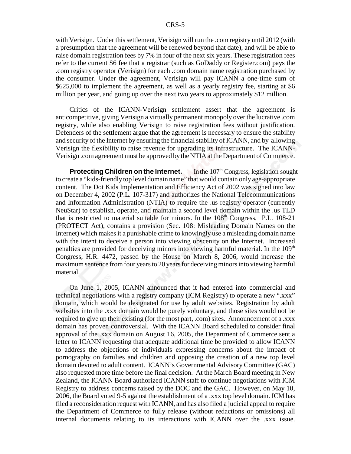with Verisign. Under this settlement, Verisign will run the .com registry until 2012 (with a presumption that the agreement will be renewed beyond that date), and will be able to raise domain registration fees by 7% in four of the next six years. These registration fees refer to the current \$6 fee that a registrar (such as GoDaddy or Register.com) pays the .com registry operator (Verisign) for each .com domain name registration purchased by the consumer. Under the agreement, Verisign will pay ICANN a one-time sum of \$625,000 to implement the agreement, as well as a yearly registry fee, starting at \$6 million per year, and going up over the next two years to approximately \$12 million.

Critics of the ICANN-Verisign settlement assert that the agreement is anticompetitive, giving Verisign a virtually permanent monopoly over the lucrative .com registry, while also enabling Verisign to raise registration fees without justification. Defenders of the settlement argue that the agreement is necessary to ensure the stability and security of the Internet by ensuring the financial stability of ICANN, and by allowing Verisign the flexibility to raise revenue for upgrading its infrastructure. The ICANN-Verisign .com agreement must be approved by the NTIA at the Department of Commerce.

**Protecting Children on the Internet.** In the 107<sup>th</sup> Congress, legislation sought to create a "kids-friendly top level domain name" that would contain only age-appropriate content. The Dot Kids Implementation and Efficiency Act of 2002 was signed into law on December 4, 2002 (P.L. 107-317) and authorizes the National Telecommunications and Information Administration (NTIA) to require the .us registry operator (currently NeuStar) to establish, operate, and maintain a second level domain within the .us TLD that is restricted to material suitable for minors. In the  $108<sup>th</sup>$  Congress, P.L.  $108-21$ (PROTECT Act), contains a provision (Sec. 108: Misleading Domain Names on the Internet) which makes it a punishable crime to knowingly use a misleading domain name with the intent to deceive a person into viewing obscenity on the Internet. Increased penalties are provided for deceiving minors into viewing harmful material. In the 109<sup>th</sup> Congress, H.R. 4472, passed by the House on March 8, 2006, would increase the maximum sentence from four years to 20 years for deceiving minors into viewing harmful material.

On June 1, 2005, ICANN announced that it had entered into commercial and technical negotiations with a registry company (ICM Registry) to operate a new ".xxx" domain, which would be designated for use by adult websites. Registration by adult websites into the .xxx domain would be purely voluntary, and those sites would not be required to give up their existing (for the most part, .com) sites. Announcement of a .xxx domain has proven controversial. With the ICANN Board scheduled to consider final approval of the .xxx domain on August 16, 2005, the Department of Commerce sent a letter to ICANN requesting that adequate additional time be provided to allow ICANN to address the objections of individuals expressing concerns about the impact of pornography on families and children and opposing the creation of a new top level domain devoted to adult content. ICANN's Governmental Advisory Committee (GAC) also requested more time before the final decision. At the March Board meeting in New Zealand, the ICANN Board authorized ICANN staff to continue negotiations with ICM Registry to address concerns raised by the DOC and the GAC. However, on May 10, 2006, the Board voted 9-5 against the establishment of a .xxx top level domain. ICM has filed a reconsideration request with ICANN, and has also filed a judicial appeal to require the Department of Commerce to fully release (without redactions or omissions) all internal documents relating to its interactions with ICANN over the .xxx issue.